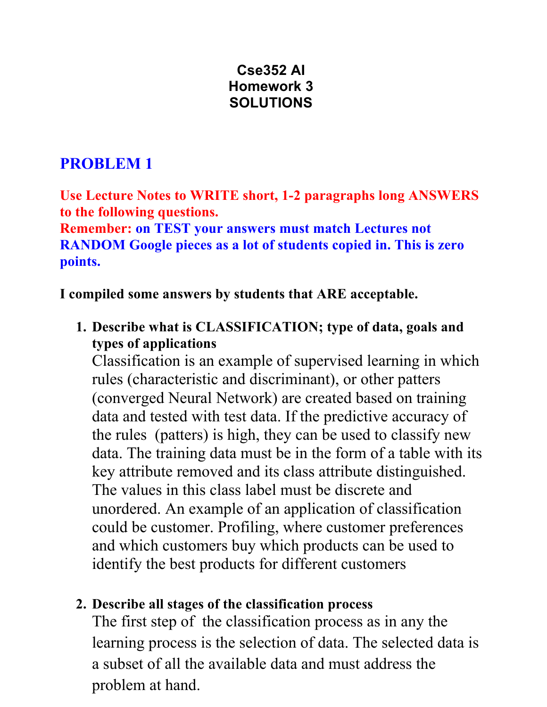# **Cse352 AI Homework 3 SOLUTIONS**

# **PROBLEM 1**

**Use Lecture Notes to WRITE short, 1-2 paragraphs long ANSWERS to the following questions.**

**Remember: on TEST your answers must match Lectures not RANDOM Google pieces as a lot of students copied in. This is zero points.**

### **I compiled some answers by students that ARE acceptable.**

**1. Describe what is CLASSIFICATION; type of data, goals and types of applications**

Classification is an example of supervised learning in which rules (characteristic and discriminant), or other patters (converged Neural Network) are created based on training data and tested with test data. If the predictive accuracy of the rules (patters) is high, they can be used to classify new data. The training data must be in the form of a table with its key attribute removed and its class attribute distinguished. The values in this class label must be discrete and unordered. An example of an application of classification could be customer. Profiling, where customer preferences and which customers buy which products can be used to identify the best products for different customers

### **2. Describe all stages of the classification process**

The first step of the classification process as in any the learning process is the selection of data. The selected data is a subset of all the available data and must address the problem at hand.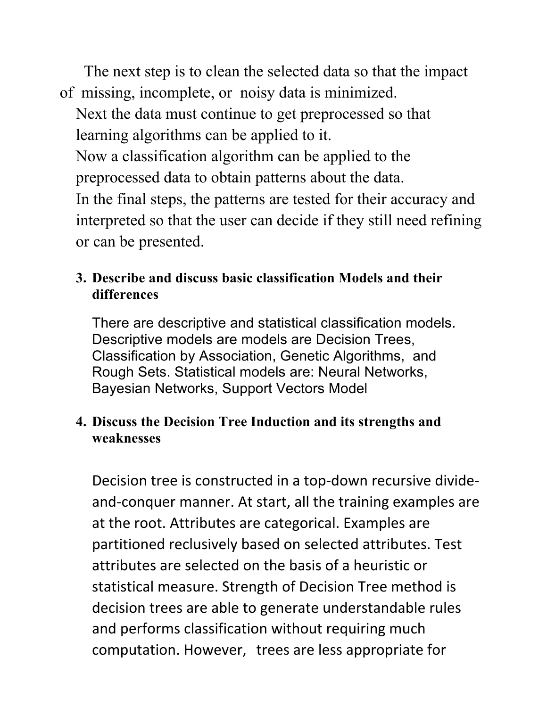The next step is to clean the selected data so that the impact of missing, incomplete, or noisy data is minimized.

Next the data must continue to get preprocessed so that learning algorithms can be applied to it.

Now a classification algorithm can be applied to the preprocessed data to obtain patterns about the data.

In the final steps, the patterns are tested for their accuracy and interpreted so that the user can decide if they still need refining or can be presented.

# **3. Describe and discuss basic classification Models and their differences**

There are descriptive and statistical classification models. Descriptive models are models are Decision Trees, Classification by Association, Genetic Algorithms, and Rough Sets. Statistical models are: Neural Networks, Bayesian Networks, Support Vectors Model

## **4. Discuss the Decision Tree Induction and its strengths and weaknesses**

Decision tree is constructed in a top-down recursive divideand-conquer manner. At start, all the training examples are at the root. Attributes are categorical. Examples are partitioned reclusively based on selected attributes. Test attributes are selected on the basis of a heuristic or statistical measure. Strength of Decision Tree method is decision trees are able to generate understandable rules and performs classification without requiring much computation. However, trees are less appropriate for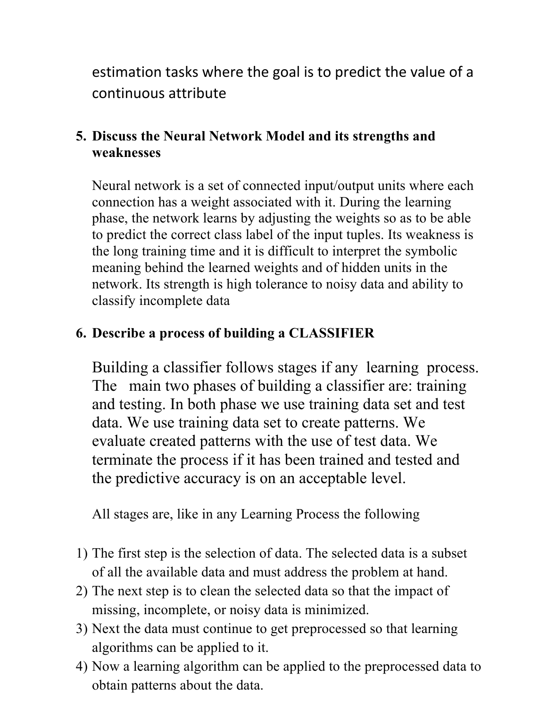estimation tasks where the goal is to predict the value of a continuous attribute

# **5. Discuss the Neural Network Model and its strengths and weaknesses**

Neural network is a set of connected input/output units where each connection has a weight associated with it. During the learning phase, the network learns by adjusting the weights so as to be able to predict the correct class label of the input tuples. Its weakness is the long training time and it is difficult to interpret the symbolic meaning behind the learned weights and of hidden units in the network. Its strength is high tolerance to noisy data and ability to classify incomplete data

# **6. Describe a process of building a CLASSIFIER**

Building a classifier follows stages if any learning process. The main two phases of building a classifier are: training and testing. In both phase we use training data set and test data. We use training data set to create patterns. We evaluate created patterns with the use of test data. We terminate the process if it has been trained and tested and the predictive accuracy is on an acceptable level.

All stages are, like in any Learning Process the following

- 1) The first step is the selection of data. The selected data is a subset of all the available data and must address the problem at hand.
- 2) The next step is to clean the selected data so that the impact of missing, incomplete, or noisy data is minimized.
- 3) Next the data must continue to get preprocessed so that learning algorithms can be applied to it.
- 4) Now a learning algorithm can be applied to the preprocessed data to obtain patterns about the data.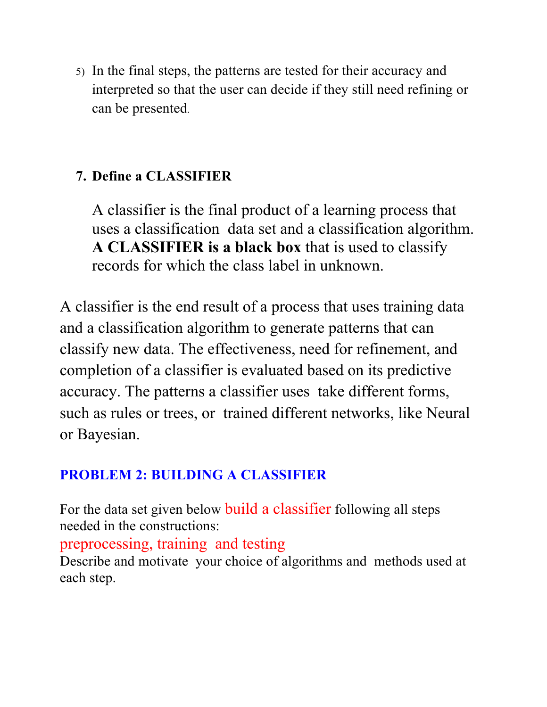5) In the final steps, the patterns are tested for their accuracy and interpreted so that the user can decide if they still need refining or can be presented.

# **7. Define a CLASSIFIER**

A classifier is the final product of a learning process that uses a classification data set and a classification algorithm. **A CLASSIFIER is a black box** that is used to classify records for which the class label in unknown.

A classifier is the end result of a process that uses training data and a classification algorithm to generate patterns that can classify new data. The effectiveness, need for refinement, and completion of a classifier is evaluated based on its predictive accuracy. The patterns a classifier uses take different forms, such as rules or trees, or trained different networks, like Neural or Bayesian.

# **PROBLEM 2: BUILDING A CLASSIFIER**

For the data set given below build a classifier following all steps needed in the constructions:

# preprocessing, training and testing

Describe and motivate your choice of algorithms and methods used at each step.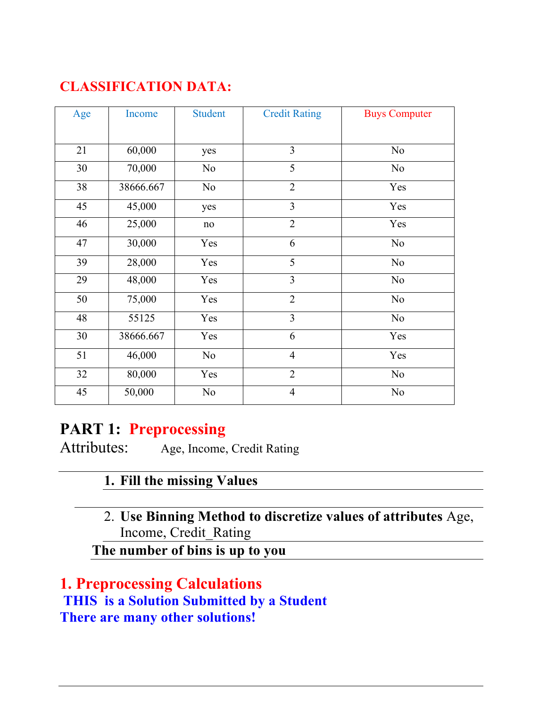# **CLASSIFICATION DATA:**

| Age | Income    | <b>Student</b> | <b>Credit Rating</b> | <b>Buys Computer</b> |
|-----|-----------|----------------|----------------------|----------------------|
|     |           |                |                      |                      |
| 21  | 60,000    | yes            | $\overline{3}$       | No                   |
| 30  | 70,000    | N <sub>0</sub> | 5                    | No                   |
| 38  | 38666.667 | N <sub>0</sub> | $\overline{2}$       | Yes                  |
| 45  | 45,000    | yes            | $\overline{3}$       | Yes                  |
| 46  | 25,000    | $\rm no$       | $\overline{2}$       | Yes                  |
| 47  | 30,000    | Yes            | 6                    | No                   |
| 39  | 28,000    | Yes            | 5                    | N <sub>o</sub>       |
| 29  | 48,000    | Yes            | 3                    | No                   |
| 50  | 75,000    | Yes            | $\overline{2}$       | No                   |
| 48  | 55125     | Yes            | 3                    | N <sub>0</sub>       |
| 30  | 38666.667 | Yes            | 6                    | Yes                  |
| 51  | 46,000    | No             | $\overline{4}$       | Yes                  |
| 32  | 80,000    | Yes            | $\overline{2}$       | No                   |
| 45  | 50,000    | N <sub>0</sub> | $\overline{4}$       | N <sub>0</sub>       |

# **PART 1: Preprocessing**

Attributes:Age, Income, Credit Rating

# **1. Fill the missing Values**

2. **Use Binning Method to discretize values of attributes** Age, Income, Credit\_Rating

**The number of bins is up to you**

**1. Preprocessing Calculations THIS is a Solution Submitted by a Student There are many other solutions!**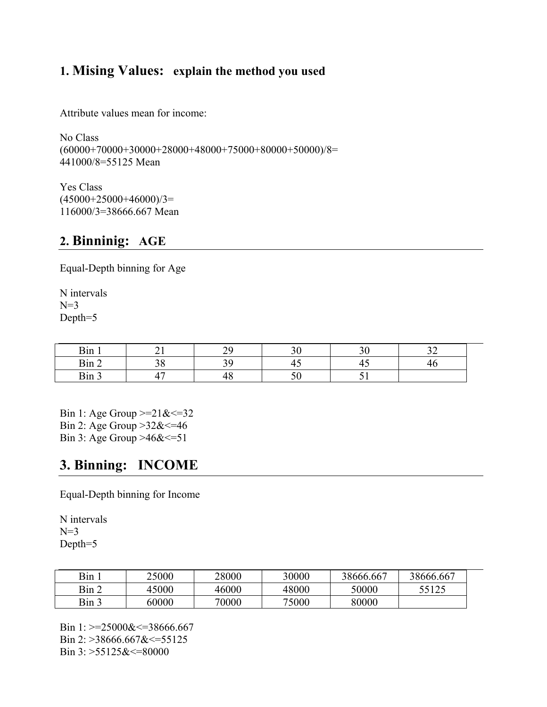### **1. Mising Values: explain the method you used**

Attribute values mean for income:

No Class  $(60000+70000+30000+28000+48000+75000+80000+50000)/8=$ 441000/8=55125 Mean

Yes Class  $(45000+25000+46000)/3=$ 116000/3=38666.667 Mean

#### **2. Binninig: AGE**

Equal-Depth binning for Age

N intervals  $N=3$ Depth=5

| ∽ ∗<br>¦1'n<br>,,,,                    | $\Delta$ <sup><math>\alpha</math></sup> | 30 C      |  |  |
|----------------------------------------|-----------------------------------------|-----------|--|--|
| $\lim 2$                               | າ ດ                                     | -<br>т.   |  |  |
| $\sim$<br>$\sum_{i=1}^{n}$<br>$\cdots$ | π∪                                      | ے -<br>υU |  |  |

Bin 1: Age Group  $>=21$ & $=32$ Bin 2: Age Group >32&<=46 Bin 3: Age Group >46& <= 51

### **3. Binning: INCOME**

Equal-Depth binning for Income

N intervals  $N=3$ Depth=5

| Bin.  | 25000 | 28000 | 30000 | 38666.667 | 38666.667 |
|-------|-------|-------|-------|-----------|-----------|
| Bin 2 | 45000 | 46000 | 48000 | 50000     | 55125     |
| Bin 3 | 60000 | 70000 | 75000 | 80000     |           |

Bin 1:  $>=$  25000&  $\le$  = 38666.667 Bin 2: >38666.667&<=55125 Bin 3: >55125&<=80000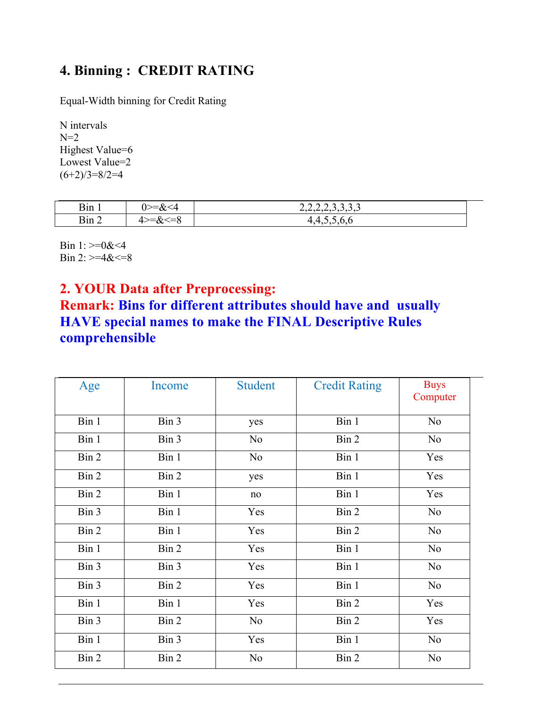# **4. Binning : CREDIT RATING**

Equal-Width binning for Credit Rating

N intervals  $N=2$ Highest Value=6 Lowest Value=2  $(6+2)/3=8/2=4$ 

| $\mathbf{r}$ .<br>Bin I | ∩.<br>u<br>₩. | $\overline{\phantom{a}}$<br>________________ |
|-------------------------|---------------|----------------------------------------------|
| n.<br>-<br>B1n 2        | $\bf{u}$<br>◡ | . <i>.</i>                                   |

Bin 1:  $>=0$ &<4 Bin 2:  $>=4<=8$ 

### **2. YOUR Data after Preprocessing:**

### **Remark: Bins for different attributes should have and usually HAVE special names to make the FINAL Descriptive Rules comprehensible**

| Age   | Income | <b>Student</b> | <b>Credit Rating</b> | <b>Buys</b><br>Computer |
|-------|--------|----------------|----------------------|-------------------------|
| Bin 1 | Bin 3  | yes            | Bin 1                | No                      |
| Bin 1 | Bin 3  | N <sub>0</sub> | Bin 2                | No                      |
| Bin 2 | Bin 1  | N <sub>o</sub> | Bin 1                | Yes                     |
| Bin 2 | Bin 2  | yes            | Bin 1                | Yes                     |
| Bin 2 | Bin 1  | no             | Bin 1                | Yes                     |
| Bin 3 | Bin 1  | Yes            | Bin 2                | N <sub>o</sub>          |
| Bin 2 | Bin 1  | Yes            | Bin 2                | No                      |
| Bin 1 | Bin 2  | Yes            | Bin 1                | No                      |
| Bin 3 | Bin 3  | Yes            | Bin 1                | No                      |
| Bin 3 | Bin 2  | Yes            | Bin 1                | No                      |
| Bin 1 | Bin 1  | Yes            | Bin 2                | Yes                     |
| Bin 3 | Bin 2  | N <sub>0</sub> | Bin 2                | Yes                     |
| Bin 1 | Bin 3  | Yes            | Bin 1                | No                      |
| Bin 2 | Bin 2  | N <sub>0</sub> | Bin 2                | N <sub>0</sub>          |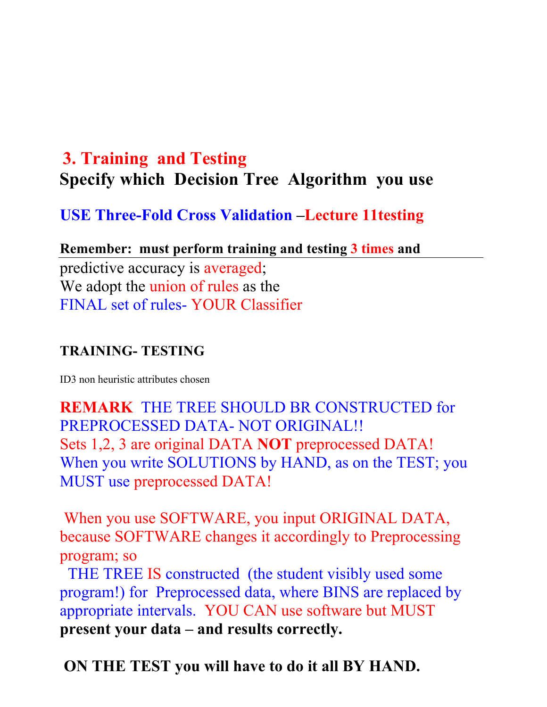# **3. Training and Testing Specify which Decision Tree Algorithm you use**

**USE Three-Fold Cross Validation –Lecture 11testing**

**Remember: must perform training and testing 3 times and**  predictive accuracy is averaged; We adopt the union of rules as the FINAL set of rules- YOUR Classifier

### **TRAINING- TESTING**

ID3 non heuristic attributes chosen

**REMARK** THE TREE SHOULD BR CONSTRUCTED for PREPROCESSED DATA- NOT ORIGINAL!! Sets 1,2, 3 are original DATA **NOT** preprocessed DATA! When you write SOLUTIONS by HAND, as on the TEST; you MUST use preprocessed DATA!

When you use SOFTWARE, you input ORIGINAL DATA, because SOFTWARE changes it accordingly to Preprocessing program; so

THE TREE IS constructed (the student visibly used some program!) for Preprocessed data, where BINS are replaced by appropriate intervals. YOU CAN use software but MUST **present your data – and results correctly.**

**ON THE TEST you will have to do it all BY HAND.**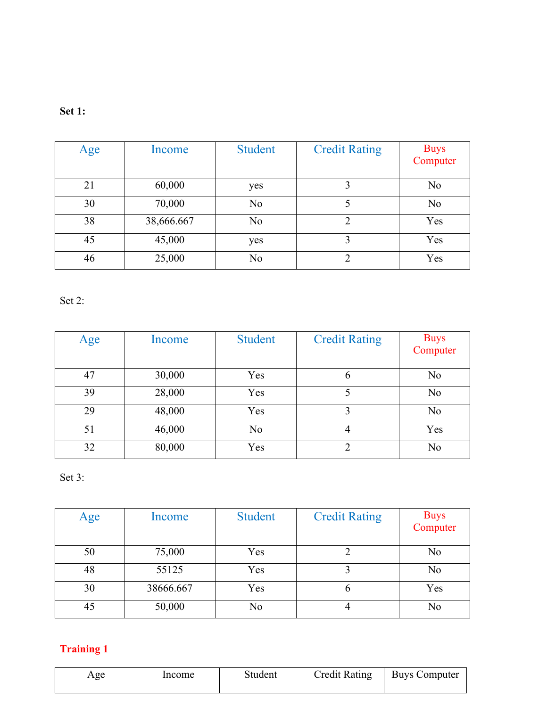| Age | Income     | <b>Student</b> | <b>Credit Rating</b> | <b>Buys</b><br>Computer |
|-----|------------|----------------|----------------------|-------------------------|
| 21  | 60,000     | yes            |                      | N <sub>0</sub>          |
| 30  | 70,000     | N <sub>0</sub> |                      | N <sub>0</sub>          |
| 38  | 38,666.667 | N <sub>0</sub> | っ                    | Yes                     |
| 45  | 45,000     | yes            | 3                    | Yes                     |
| 46  | 25,000     | N <sub>0</sub> | 2                    | Yes                     |

Set 2:

| Age | Income | <b>Student</b> | <b>Credit Rating</b> | Buys<br>Computer |
|-----|--------|----------------|----------------------|------------------|
| 47  | 30,000 | Yes            | $\mathfrak b$        | N <sub>0</sub>   |
| 39  | 28,000 | Yes            |                      | N <sub>o</sub>   |
| 29  | 48,000 | Yes            | 3                    | N <sub>o</sub>   |
| 51  | 46,000 | N <sub>o</sub> | 4                    | Yes              |
| 32  | 80,000 | Yes            | っ                    | N <sub>o</sub>   |

Set 3:

| Age | Income    | <b>Student</b> | <b>Credit Rating</b> | Buys<br>Computer |
|-----|-----------|----------------|----------------------|------------------|
| 50  | 75,000    | Yes            |                      | N <sub>0</sub>   |
| 48  | 55125     | Yes            |                      | N <sub>0</sub>   |
| 30  | 38666.667 | Yes            | O                    | Yes              |
| 45  | 50,000    | No             |                      | N <sub>0</sub>   |

## **Training 1**

| Age | Income | Student | <b>Credit Rating</b> | <b>Buys Computer</b> |
|-----|--------|---------|----------------------|----------------------|
|     |        |         |                      |                      |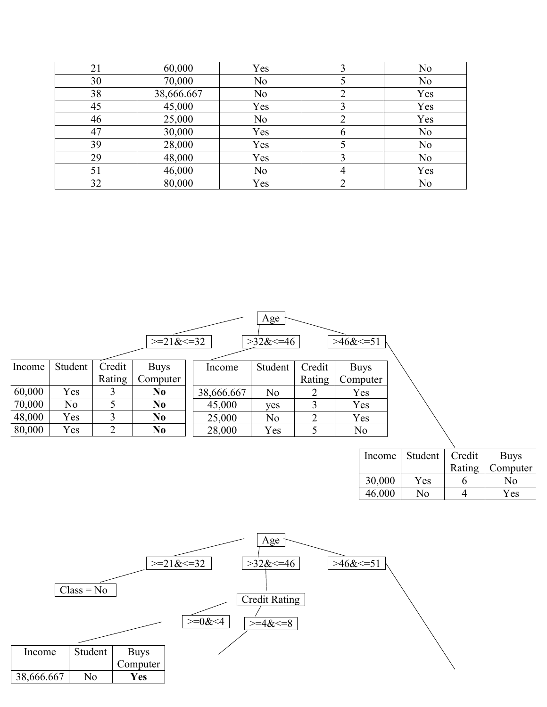| 21 | 60,000     | Yes            |   | N <sub>0</sub> |
|----|------------|----------------|---|----------------|
| 30 | 70,000     | N <sub>0</sub> |   | N <sub>0</sub> |
| 38 | 38,666.667 | N <sub>0</sub> |   | Yes            |
| 45 | 45,000     | Yes            |   | Yes            |
| 46 | 25,000     | N <sub>0</sub> |   | Yes            |
| 47 | 30,000     | Yes            | b | No             |
| 39 | 28,000     | Yes            |   | N <sub>0</sub> |
| 29 | 48,000     | Yes            |   | No             |
| 51 | 46,000     | N <sub>0</sub> | 4 | Yes            |
| 32 | 80,000     | Yes            |   | N <sub>0</sub> |

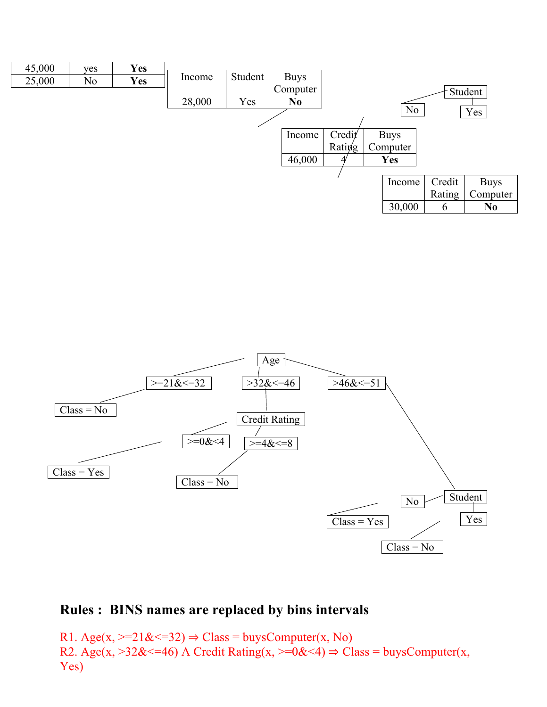



### **Rules : BINS names are replaced by bins intervals**

R1. Age(x,  $>=21\<=32$ )  $\Rightarrow$  Class = buysComputer(x, No) R2. Age(x,  $>32\<=46$ ) Λ Credit Rating(x,  $>=0\<4$ )  $\Rightarrow$  Class = buysComputer(x, Yes)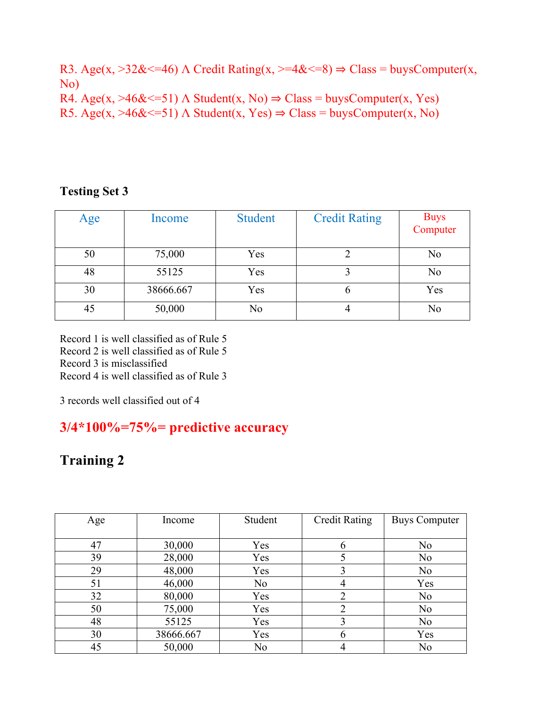R3. Age(x,  $>32\<=46$ )  $\Lambda$  Credit Rating(x,  $>=4\<=8$ )  $\Rightarrow$  Class = buysComputer(x, No) R4. Age(x, >46& <= 51)  $\Lambda$  Student(x, No)  $\Rightarrow$  Class = buysComputer(x, Yes)

R5. Age(x,  $>46\<=51$ ) A Student(x, Yes)  $\Rightarrow$  Class = buysComputer(x, No)

#### **Testing Set 3**

| Age | Income    | <b>Student</b> | <b>Credit Rating</b> | Buys<br>Computer |
|-----|-----------|----------------|----------------------|------------------|
| 50  | 75,000    | Yes            |                      | N <sub>0</sub>   |
| 48  | 55125     | Yes            |                      | N <sub>0</sub>   |
| 30  | 38666.667 | Yes            | O                    | Yes              |
| 45  | 50,000    | No             |                      | No               |

Record 1 is well classified as of Rule 5 Record 2 is well classified as of Rule 5 Record 3 is misclassified Record 4 is well classified as of Rule 3

3 records well classified out of 4

### **3/4\*100%=75%= predictive accuracy**

## **Training 2**

| Age | Income    | Student        | <b>Credit Rating</b> | <b>Buys Computer</b> |
|-----|-----------|----------------|----------------------|----------------------|
|     |           |                |                      |                      |
| 47  | 30,000    | Yes            | 6                    | N <sub>0</sub>       |
| 39  | 28,000    | Yes            |                      | N <sub>0</sub>       |
| 29  | 48,000    | Yes            | 3                    | N <sub>0</sub>       |
| 51  | 46,000    | N <sub>o</sub> |                      | Yes                  |
| 32  | 80,000    | Yes            | 2                    | N <sub>0</sub>       |
| 50  | 75,000    | Yes            | ∍                    | N <sub>0</sub>       |
| 48  | 55125     | Yes            | 3                    | N <sub>0</sub>       |
| 30  | 38666.667 | Yes            | 6                    | Yes                  |
| 45  | 50,000    | No             |                      | N <sub>0</sub>       |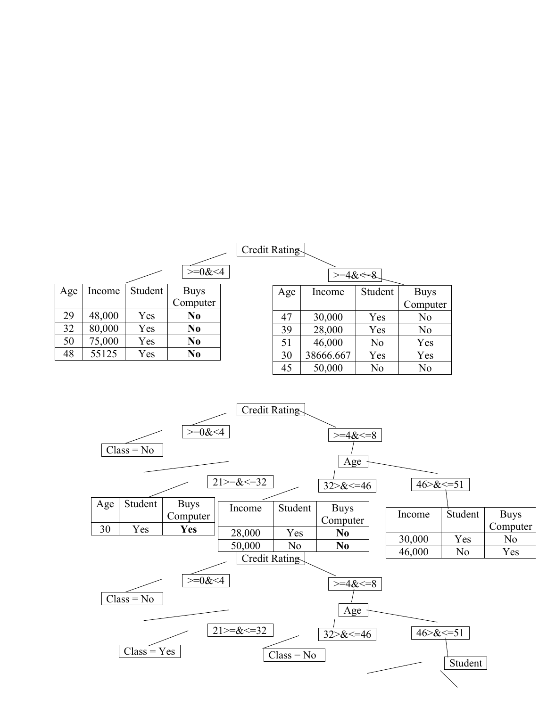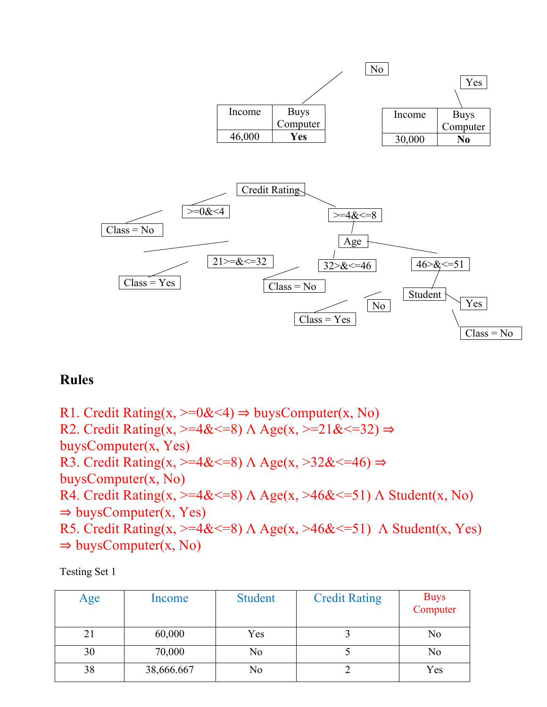

### **Rules**

R1. Credit Rating(x,  $>=0$ &<4)  $\Rightarrow$  buysComputer(x, No) R2. Credit Rating(x,  $>=4<=8$ )  $\Lambda$  Age(x,  $>=21<=32$ )  $\Rightarrow$ buysComputer(x, Yes) R3. Credit Rating(x,  $>=4<=8$ )  $\Lambda$  Age(x,  $>32<=46$ )  $\Rightarrow$ buysComputer(x, No) R4. Credit Rating(x,  $>=4<=8$ ) Λ Age(x,  $>46<=51$ ) Λ Student(x, No)  $\Rightarrow$  buysComputer(x, Yes) R5. Credit Rating(x,  $>=4<=8$ ) Λ Age(x,  $>46<=51$ ) Λ Student(x, Yes)  $\Rightarrow$  buysComputer(x, No)

Testing Set 1

| Age | Income     | <b>Student</b> | <b>Credit Rating</b> | Buys<br>Computer |
|-----|------------|----------------|----------------------|------------------|
| 21  | 60,000     | Yes            |                      | N <sub>0</sub>   |
| 30  | 70,000     | No             |                      | No               |
| 38  | 38,666.667 | No             |                      | Yes              |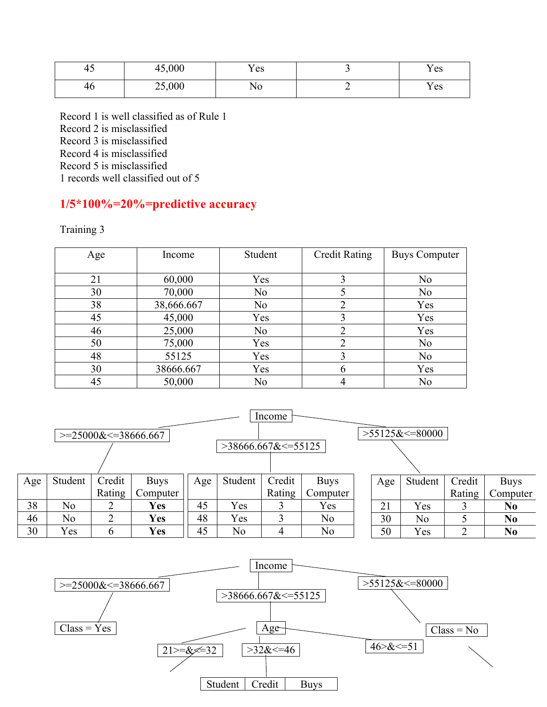| . .<br>45 | 45,000 | Yes |          | Yes |
|-----------|--------|-----|----------|-----|
| 46        | 25,000 | N0  | <u>—</u> | Yes |

Record 1 is well classified as of Rule 1 Record 2 is misclassified Record 3 is misclassified Record 4 is misclassified Record 5 is misclassified 1 records well classified out of 5

#### **1/5\*100%=20%=predictive accuracy**

Training 3

| Age | Income     | Student        | <b>Credit Rating</b> | <b>Buys Computer</b> |
|-----|------------|----------------|----------------------|----------------------|
|     |            |                |                      |                      |
| 21  | 60,000     | Yes            | 3                    | N <sub>o</sub>       |
| 30  | 70,000     | N <sub>0</sub> |                      | N <sub>o</sub>       |
| 38  | 38,666.667 | No             | າ                    | Yes                  |
| 45  | 45,000     | Yes            | 3                    | Yes                  |
| 46  | 25,000     | N <sub>0</sub> | ∍                    | Yes                  |
| 50  | 75,000     | Yes            | ∍                    | N <sub>o</sub>       |
| 48  | 55125      | Yes            | 3                    | N <sub>o</sub>       |
| 30  | 38666.667  | Yes            | 6                    | Yes                  |
| 45  | 50,000     | No             |                      | No                   |



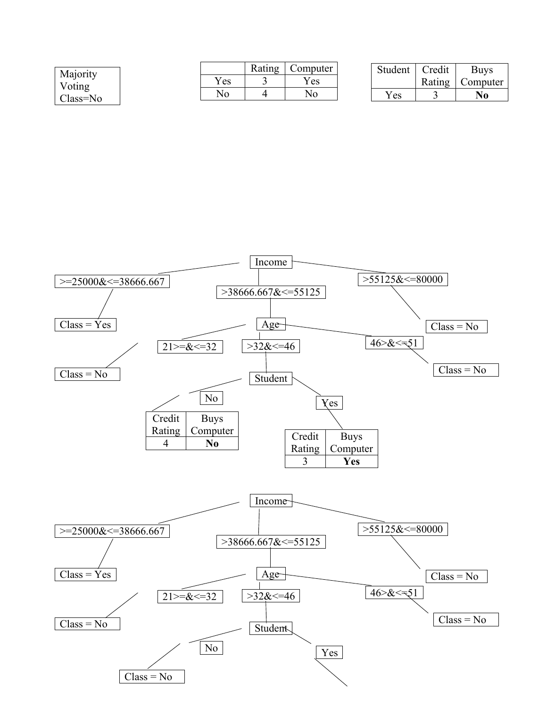| Majority |      | Rating | Computer | Student | Credit | <b>Buys</b>    |
|----------|------|--------|----------|---------|--------|----------------|
| Voting   | Y es |        | 'es      |         | Rating | Computer       |
| Class=No | ΝO   |        | No       | Yes     |        | N <sub>0</sub> |

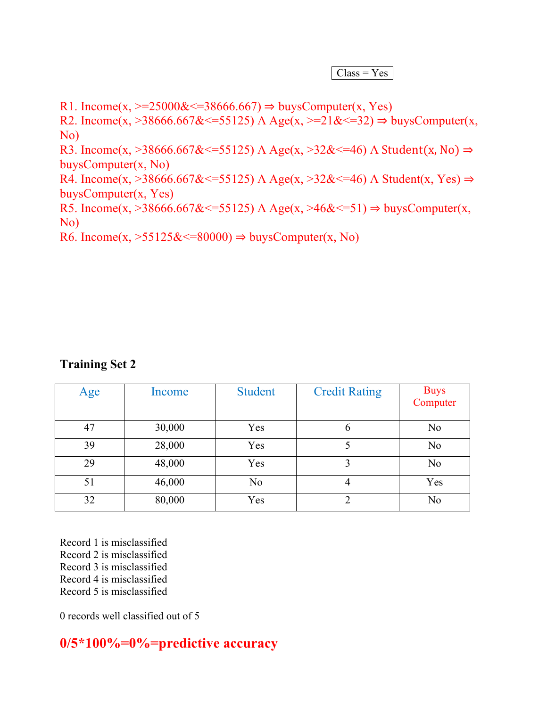$Class = Yes$ 

R1. Income(x,  $>=25000&\leq 38666.667$ )  $\Rightarrow$  buysComputer(x, Yes) R2. Income(x,  $>38666.667<=55125$ )  $\Lambda$  Age(x,  $>=21<=32$ )  $\Rightarrow$  buysComputer(x, No) R3. Income(x, >38666.667&  $\leq$ =55125) Λ Age(x, >32&  $\leq$ =46) Λ Student(x, No)  $\Rightarrow$ buysComputer(x, No) R4. Income(x, >38666.667&  $\leq$ =55125)  $\Lambda$  Age(x, >32&  $\leq$ =46)  $\Lambda$  Student(x, Yes)  $\Rightarrow$ buysComputer(x, Yes) R5. Income(x,  $>38666.667<=55125$ ) Λ Age(x,  $>46<=51$ )  $\Rightarrow$  buysComputer(x, No)

R6. Income(x,  $>55125\<=80000$ )  $\Rightarrow$  buysComputer(x, No)

#### **Training Set 2**

| Age | Income | <b>Student</b> | <b>Credit Rating</b> | Buys<br>Computer |
|-----|--------|----------------|----------------------|------------------|
| 47  | 30,000 | Yes            | $\mathfrak b$        | N <sub>0</sub>   |
| 39  | 28,000 | Yes            |                      | N <sub>o</sub>   |
| 29  | 48,000 | Yes            | 3                    | N <sub>0</sub>   |
| 51  | 46,000 | N <sub>o</sub> | 4                    | Yes              |
| 32  | 80,000 | Yes            | ∍                    | N <sub>o</sub>   |

Record 1 is misclassified Record 2 is misclassified Record 3 is misclassified Record 4 is misclassified Record 5 is misclassified

0 records well classified out of 5

**0/5\*100%=0%=predictive accuracy**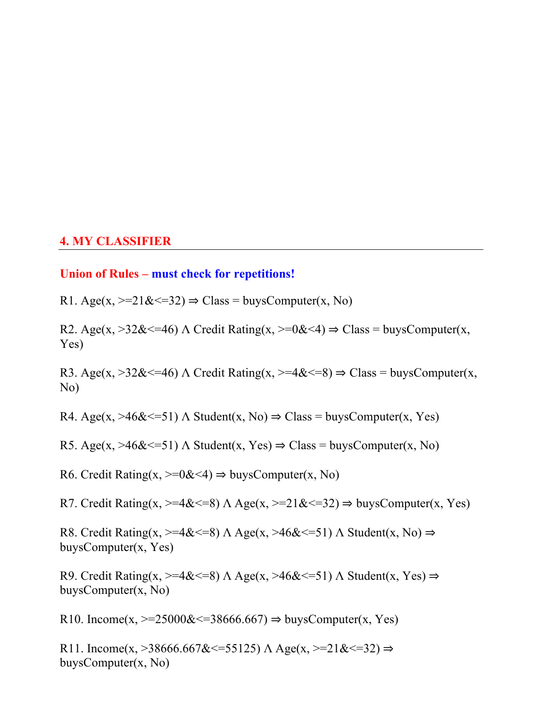#### **4. MY CLASSIFIER**

#### **Union of Rules – must check for repetitions!**

R1. Age(x,  $\geq 21\<=32$ )  $\Rightarrow$  Class = buysComputer(x, No)

R2. Age(x,  $>32\<=46$ )  $\Lambda$  Credit Rating(x,  $>=0\<4$ )  $\Rightarrow$  Class = buysComputer(x, Yes)

R3. Age(x,  $>32\<=46$ )  $\Lambda$  Credit Rating(x,  $>=4\<=8$ )  $\Rightarrow$  Class = buysComputer(x, No)

R4. Age(x,  $>46\<=51$ )  $\Lambda$  Student(x, No)  $\Rightarrow$  Class = buysComputer(x, Yes)

R5. Age(x,  $>46\<=51$ )  $\Lambda$  Student(x, Yes)  $\Rightarrow$  Class = buysComputer(x, No)

R6. Credit Rating(x,  $\geq 0 < 4$ )  $\Rightarrow$  buysComputer(x, No)

R7. Credit Rating(x,  $>=4<=8$ )  $\Lambda$  Age(x,  $>=21<=32$ )  $\Rightarrow$  buysComputer(x, Yes)

R8. Credit Rating(x,  $>=4<=8$ )  $\Lambda$  Age(x,  $>46<=51$ )  $\Lambda$  Student(x, No)  $\Rightarrow$ buysComputer(x, Yes)

R9. Credit Rating(x,  $>=4<=8$ )  $\Lambda$  Age(x,  $>=4<=51$ )  $\Lambda$  Student(x, Yes)  $\Rightarrow$ buysComputer(x, No)

R10. Income(x,  $\ge$  =25000& <=38666.667)  $\Rightarrow$  buysComputer(x, Yes)

R11. Income(x, >38666.667&  $\leq$ =55125)  $\Lambda$  Age(x, >=21&  $\leq$ =32)  $\Rightarrow$ buysComputer(x, No)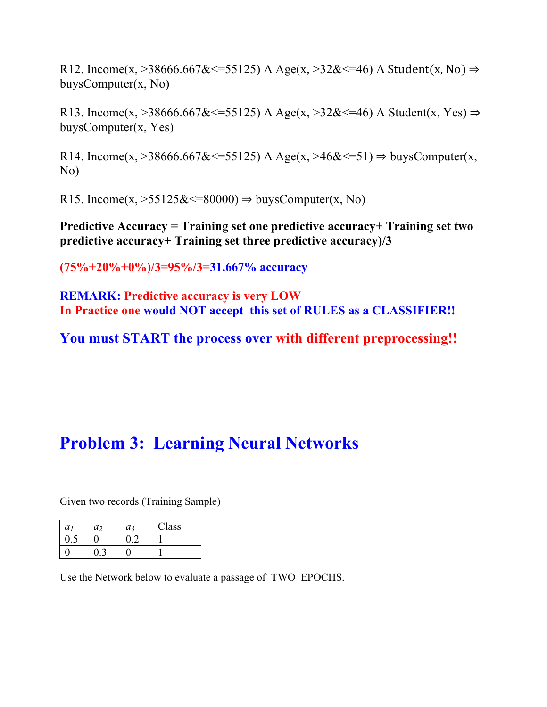R12. Income(x, >38666.667&  $\leq$ =55125) Λ Age(x, >32&  $\leq$ =46) Λ Student(x, No)  $\Rightarrow$ buysComputer(x, No)

R13. Income(x, >38666.667&  $\leq$ =55125) Λ Age(x, >32&  $\leq$ =46) Λ Student(x, Yes)  $\Rightarrow$ buysComputer(x, Yes)

R14. Income(x,  $>$ 38666.667&  $\le$  =55125)  $\Lambda$  Age(x,  $>$ 46&  $\le$  =51)  $\Rightarrow$  buysComputer(x, No)

R15. Income(x,  $>55125\<=80000$ )  $\Rightarrow$  buysComputer(x, No)

**Predictive Accuracy = Training set one predictive accuracy+ Training set two predictive accuracy+ Training set three predictive accuracy)/3**

**(75%+20%+0%)/3=95%/3=31.667% accuracy**

**REMARK: Predictive accuracy is very LOW In Practice one would NOT accept this set of RULES as a CLASSIFIER!!**

**You must START the process over with different preprocessing!!**

# **Problem 3: Learning Neural Networks**

Given two records (Training Sample)

| a <sub>1</sub> | a <sub>2</sub> | $a_3$ | Class |
|----------------|----------------|-------|-------|
|                |                |       |       |
|                |                |       |       |

Use the Network below to evaluate a passage of TWO EPOCHS.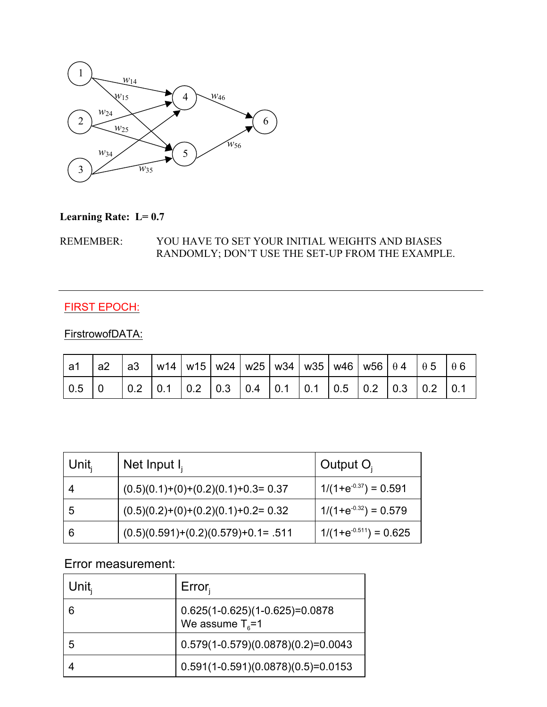

#### **Learning Rate: L= 0.7**

#### REMEMBER: YOU HAVE TO SET YOUR INITIAL WEIGHTS AND BIASES RANDOMLY; DON'T USE THE SET-UP FROM THE EXAMPLE.

#### FIRST EPOCH:

#### FirstrowofDATA:

| a1                        |  |  |  |  |  | a2   a3   w14   w15   w24   w25   w34   w35   w46   w56   $\theta$ 4   $\theta$ 5   $\theta$ 6                                                  |  |
|---------------------------|--|--|--|--|--|-------------------------------------------------------------------------------------------------------------------------------------------------|--|
| $\vert 0.5 \vert 0 \vert$ |  |  |  |  |  | $\vert$ 0.2 $\vert$ 0.1 $\vert$ 0.2 $\vert$ 0.3 $\vert$ 0.4 $\vert$ 0.1 $\vert$ 0.1 $\vert$ 0.5 $\vert$ 0.2 $\vert$ 0.3 $\vert$ 0.2 $\vert$ 0.1 |  |

| Unit $_{\mathsf{i}}$ | Net Input $I_i$                       | Output $O_i$               |
|----------------------|---------------------------------------|----------------------------|
|                      | $(0.5)(0.1)+(0)+(0.2)(0.1)+0.3=0.37$  | $1/(1+e^{-0.37}) = 0.591$  |
| 5                    | $(0.5)(0.2)+(0)+(0.2)(0.1)+0.2=0.32$  | $1/(1+e^{-0.32}) = 0.579$  |
| 6                    | $(0.5)(0.591)+(0.2)(0.579)+0.1= .511$ | $1/(1+e^{-0.511}) = 0.625$ |

#### Error measurement:

| Unit, | $Error_i$                                                      |
|-------|----------------------------------------------------------------|
| 6     | $0.625(1-0.625)(1-0.625)=0.0878$<br>We assume $T_{\text{s}}=1$ |
| 5     | $0.579(1-0.579)(0.0878)(0.2)=0.0043$                           |
|       | $0.591(1-0.591)(0.0878)(0.5)=0.0153$                           |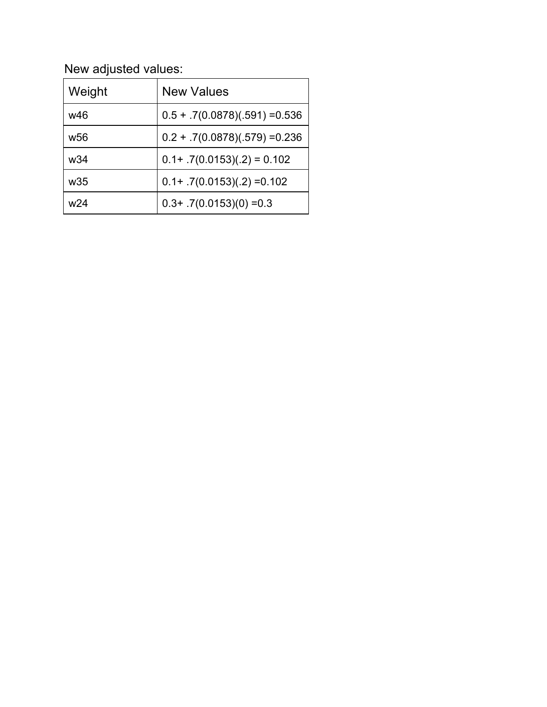New adjusted values:

| Weight          | <b>New Values</b>                |
|-----------------|----------------------------------|
| w46             | $0.5 + .7(0.0878)(.591) = 0.536$ |
| w <sub>56</sub> | $0.2 + .7(0.0878)(.579) = 0.236$ |
| w34             | $0.1+ .7(0.0153)(.2) = 0.102$    |
| w35             | $0.1+ .7(0.0153)(.2) = 0.102$    |
| w24             | $0.3+ .7(0.0153)(0) = 0.3$       |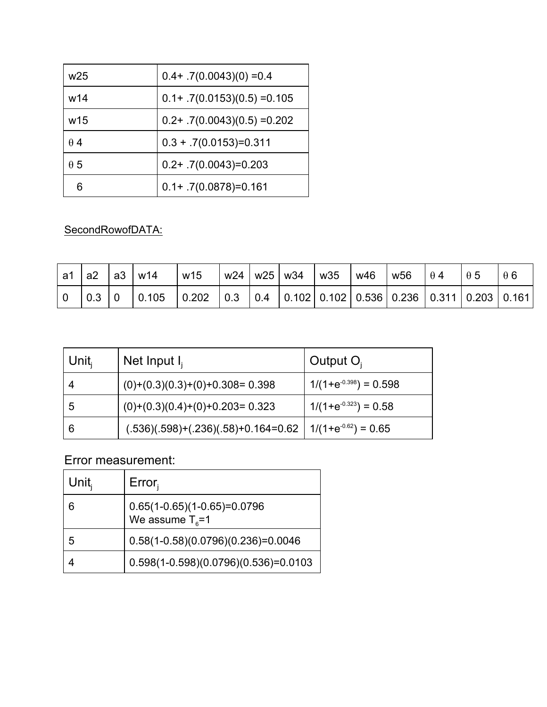| w <sub>25</sub> | $0.4 + .7(0.0043)(0) = 0.4$    |
|-----------------|--------------------------------|
| w14             | $0.1+ .7(0.0153)(0.5) = 0.105$ |
| w15             | $0.2+$ .7(0.0043)(0.5) = 0.202 |
| $\theta$ 4      | $0.3 + .7(0.0153) = 0.311$     |
| $\theta$ 5      | $0.2+ .7(0.0043)=0.203$        |
|                 | $0.1 + .7(0.0878) = 0.161$     |

### SecondRowofDATA:

| a1 | a2 | a3 | w14   | w15   |     | w24   w25 | w34 | w35 | w46 | w <sub>56</sub>                                               | $\theta$ 4 | $\theta$ 5 |  |
|----|----|----|-------|-------|-----|-----------|-----|-----|-----|---------------------------------------------------------------|------------|------------|--|
|    |    |    | 0.105 | 0.202 | 0.3 | 0.4       |     |     |     | $\vert$ 0.102   0.102   0.536   0.236   0.311   0.203   0.161 |            |            |  |

| ∣ Unit <sub>i</sub> | Net Input $I_i$                                                | Output $O_i$               |
|---------------------|----------------------------------------------------------------|----------------------------|
|                     | $(0)+(0.3)(0.3)+(0)+0.308=0.398$                               | $1/(1+e^{-0.398}) = 0.598$ |
| 5                   | $(0)+(0.3)(0.4)+(0)+0.203=0.323$                               | $1/(1+e^{-0.323}) = 0.58$  |
| 6                   | $(.536)(.598)+(.236)(.58)+0.164=0.62$   $1/(1+e^{-0.62})=0.65$ |                            |

Error measurement:

| Unit $_{\rm i}$ | Error <sub>i</sub>                                          |
|-----------------|-------------------------------------------------------------|
| 6               | $0.65(1-0.65)(1-0.65)=0.0796$<br>We assume $T_{\text{R}}=1$ |
| 5               | $0.58(1-0.58)(0.0796)(0.236)=0.0046$                        |
|                 | $0.598(1 - 0.598)(0.0796)(0.536) = 0.0103$                  |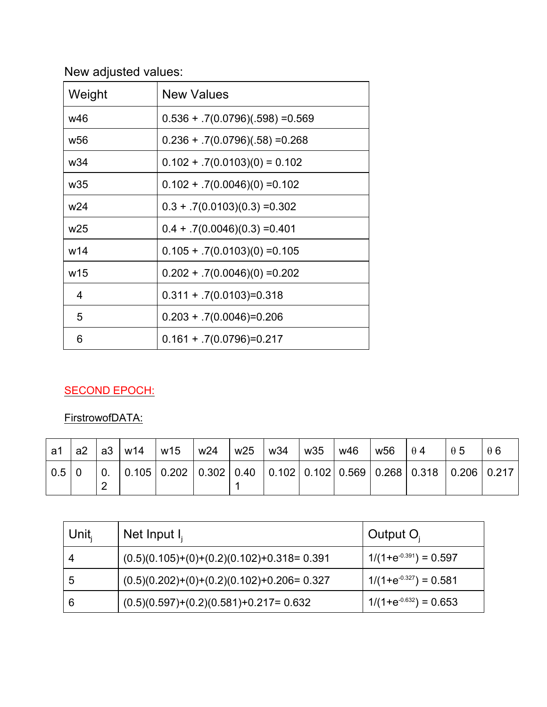# New adjusted values:

| Weight          | <b>New Values</b>                  |
|-----------------|------------------------------------|
| w46             | $0.536 + .7(0.0796)(.598) = 0.569$ |
| w <sub>56</sub> | $0.236 + .7(0.0796)(.58) = 0.268$  |
| w34             | $0.102 + .7(0.0103)(0) = 0.102$    |
| w <sub>35</sub> | $0.102 + .7(0.0046)(0) = 0.102$    |
| w24             | $0.3 + .7(0.0103)(0.3) = 0.302$    |
| w <sub>25</sub> | $0.4 + .7(0.0046)(0.3) = 0.401$    |
| w14             | $0.105 + .7(0.0103)(0) = 0.105$    |
| w15             | $0.202 + .7(0.0046)(0) = 0.202$    |
| 4               | $0.311 + .7(0.0103) = 0.318$       |
| 5               | $0.203 + .7(0.0046) = 0.206$       |
| 6               | $0.161 + 7(0.0796) = 0.217$        |

### SECOND EPOCH:

FirstrowofDATA:

| a1              |  | a2   a3   w14   w15   w24   w25   w34   w35 |  |  | w46 | $W56 \quad \theta 4$ |                                                                                                                                                                     | $\theta$ 5 | A6 |
|-----------------|--|---------------------------------------------|--|--|-----|----------------------|---------------------------------------------------------------------------------------------------------------------------------------------------------------------|------------|----|
| $0.5 \,   \, 0$ |  |                                             |  |  |     |                      | $\vert$ 0. $\vert$ 0.105 $\vert$ 0.202 $\vert$ 0.302 $\vert$ 0.40 $\vert$ 0.102 $\vert$ 0.102 $\vert$ 0.569 $\vert$ 0.268 $\vert$ 0.318 $\vert$ 0.206 $\vert$ 0.217 |            |    |

| Unit $_{i}$ | Net Input $I_i$                             | $\vdash$ Output O <sub>i</sub> |
|-------------|---------------------------------------------|--------------------------------|
|             | $(0.5)(0.105)+(0)+(0.2)(0.102)+0.318=0.391$ | $1/(1+e^{-0.391}) = 0.597$     |
|             | $(0.5)(0.202)+(0)+(0.2)(0.102)+0.206=0.327$ | $1/(1+e^{-0.327}) = 0.581$     |
| 6           | $(0.5)(0.597)+(0.2)(0.581)+0.217=0.632$     | $1/(1+e^{-0.632}) = 0.653$     |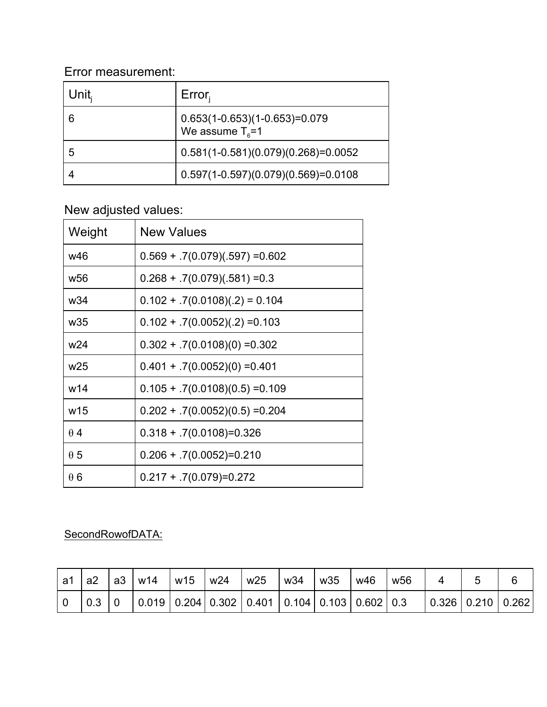### Error measurement:

| Unit | $Error_i$                                                     |
|------|---------------------------------------------------------------|
| 6    | $0.653(1-0.653)(1-0.653)=0.079$<br>We assume $T_{\text{s}}=1$ |
| 5    | $0.581(1-0.581)(0.079)(0.268)=0.0052$                         |
|      | $0.597(1-0.597)(0.079)(0.569)=0.0108$                         |

# New adjusted values:

| Weight          | <b>New Values</b>                 |
|-----------------|-----------------------------------|
| w46             | $0.569 + .7(0.079)(.597) = 0.602$ |
| w <sub>56</sub> | $0.268 + 7(0.079)(.581) = 0.3$    |
| w34             | $0.102 + .7(0.0108)(.2) = 0.104$  |
| w <sub>35</sub> | $0.102 + .7(0.0052)(.2) = 0.103$  |
| w <sub>24</sub> | $0.302 + .7(0.0108)(0) = 0.302$   |
| w25             | $0.401 + .7(0.0052)(0) = 0.401$   |
| w14             | $0.105 + .7(0.0108)(0.5) = 0.109$ |
| w15             | $0.202 + .7(0.0052)(0.5) = 0.204$ |
| $\theta$ 4      | $0.318 + .7(0.0108) = 0.326$      |
| $\theta$ 5      | $0.206 + .7(0.0052)=0.210$        |
| $\theta$ 6      | $0.217 + 7(0.079) = 0.272$        |

### SecondRowofDATA:

| a1 | a2 | ∣ a3 | w14                                                                                                           | w15 | w <sub>24</sub> | w25 | w34 | w35 | w46 | w <sub>56</sub> |                   |  |
|----|----|------|---------------------------------------------------------------------------------------------------------------|-----|-----------------|-----|-----|-----|-----|-----------------|-------------------|--|
|    |    |      | $\vert$ 0.019 $\vert$ 0.204 $\vert$ 0.302 $\vert$ 0.401 $\vert$ 0.104 $\vert$ 0.103 $\vert$ 0.602 $\vert$ 0.3 |     |                 |     |     |     |     |                 | 0.326 0.210 0.262 |  |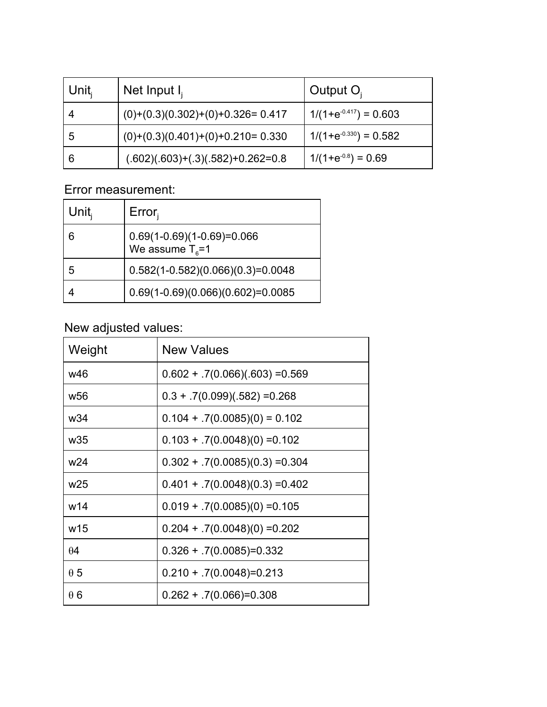| Unit, | Net Input $I_i$                     | Output $O_i$               |
|-------|-------------------------------------|----------------------------|
|       | $(0)+(0.3)(0.302)+(0)+0.326=0.417$  | $1/(1+e^{-0.417}) = 0.603$ |
| 5     | $(0)+(0.3)(0.401)+(0)+0.210=0.330$  | $1/(1+e^{-0.330}) = 0.582$ |
| 6     | $(.602)(.603)+(.3)(.582)+0.262=0.8$ | $1/(1+e^{-0.8}) = 0.69$    |

## Error measurement:

| Unit $_{i}$ | Error <sub>i</sub>                                         |
|-------------|------------------------------------------------------------|
| 6           | $0.69(1-0.69)(1-0.69)=0.066$<br>We assume $T_{\text{s}}=1$ |
| 5           | $0.582(1-0.582)(0.066)(0.3)=0.0048$                        |
|             | $0.69(1-0.69)(0.066)(0.602)=0.0085$                        |

# New adjusted values:

| Weight          | <b>New Values</b>                 |
|-----------------|-----------------------------------|
| w46             | $0.602 + .7(0.066)(.603) = 0.569$ |
| w <sub>56</sub> | $0.3 + .7(0.099)(.582) = 0.268$   |
| w34             | $0.104 + .7(0.0085)(0) = 0.102$   |
| w <sub>35</sub> | $0.103 + .7(0.0048)(0) = 0.102$   |
| w <sub>24</sub> | $0.302 + .7(0.0085)(0.3) = 0.304$ |
| w <sub>25</sub> | $0.401 + .7(0.0048)(0.3) = 0.402$ |
| w14             | $0.019 + .7(0.0085)(0) = 0.105$   |
| w15             | $0.204 + .7(0.0048)(0) = 0.202$   |
| $\theta$ 4      | $0.326 + 7(0.0085) = 0.332$       |
| $\theta$ 5      | $0.210 + 7(0.0048) = 0.213$       |
| $\theta$ 6      | $0.262 + 7(0.066) = 0.308$        |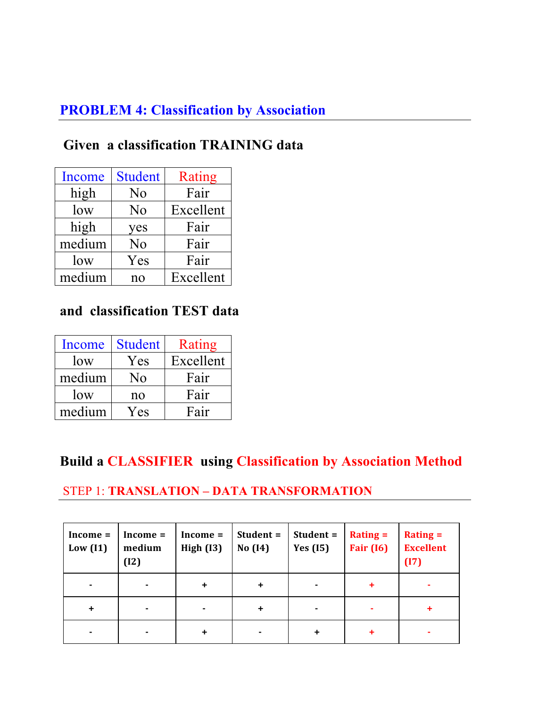## **PROBLEM 4: Classification by Association**

# **Given a classification TRAINING data**

| Income | <b>Student</b> | Rating    |
|--------|----------------|-----------|
| high   | N <sub>0</sub> | Fair      |
| low    | No             | Excellent |
| high   | yes            | Fair      |
| medium | N <sub>0</sub> | Fair      |
| low    | Yes            | Fair      |
| medium | no             | Excellent |

### **and classification TEST data**

| Income | <b>Student</b> | Rating    |
|--------|----------------|-----------|
| low    | Yes            | Excellent |
| medium | Nο             | Fair      |
| low    | no             | Fair      |
| medium | Yes            | Fair      |

## **Build a CLASSIFIER using Classification by Association Method**

### STEP 1: **TRANSLATION – DATA TRANSFORMATION**

| $Income =$<br>Low $(11)$ | $Income =$<br>medium<br>(12) | $Income =$<br>High $(13)$ | Student =<br>No $(14)$ | Student =<br><b>Yes</b> (15) | $Rating =$<br><b>Fair</b> (16) | $Rating =$<br><b>Excellent</b><br>(17) |
|--------------------------|------------------------------|---------------------------|------------------------|------------------------------|--------------------------------|----------------------------------------|
|                          |                              | $\ddot{}$                 | ٠                      |                              | ٠                              |                                        |
| ÷                        |                              | $\blacksquare$            | ÷                      |                              | ۰                              |                                        |
|                          |                              | $\ddot{}$                 |                        |                              |                                |                                        |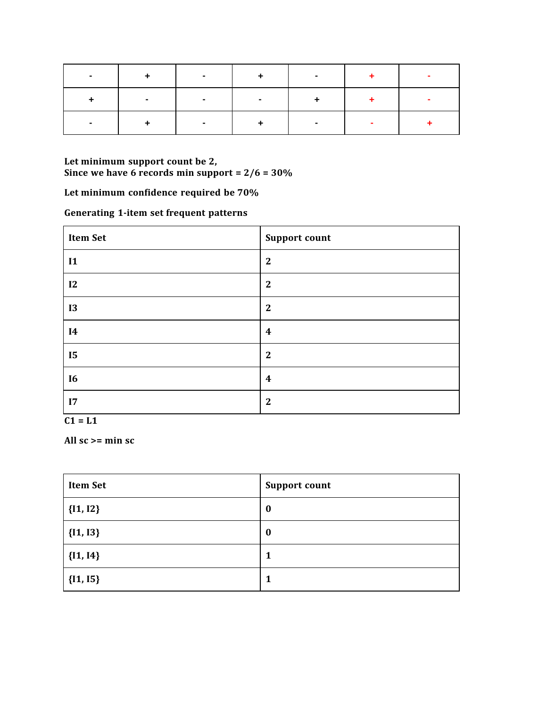| $+$ | $\sim$ | $+$                                 | $\sim$ |  |
|-----|--------|-------------------------------------|--------|--|
|     | $\sim$ | the contract of the contract of the |        |  |
| $+$ |        | $+$                                 | $\sim$ |  |

**Let minimum support count be 2, Since we have 6 records min support = 2/6 = 30%** 

**Let minimum confidence required be 70%**

**Generating 1-item set frequent patterns**

| <b>Item Set</b> | <b>Support count</b> |
|-----------------|----------------------|
| $\mathbf{I}$    | $\mathbf{2}$         |
| 12              | $\mathbf{2}$         |
| <b>I3</b>       | $\mathbf{2}$         |
| <b>I4</b>       | $\boldsymbol{4}$     |
| <b>I5</b>       | $\mathbf{2}$         |
| <b>I6</b>       | $\boldsymbol{4}$     |
| 17              | $\mathbf{2}$         |

 $C1 = L1$ 

**All sc >= min sc**

| <b>Item Set</b> | <b>Support count</b> |
|-----------------|----------------------|
| ${I1, I2}$      | $\boldsymbol{0}$     |
| ${I1, I3}$      | $\boldsymbol{0}$     |
| ${I1, I4}$      | 1                    |
| ${I1, I5}$      | 1                    |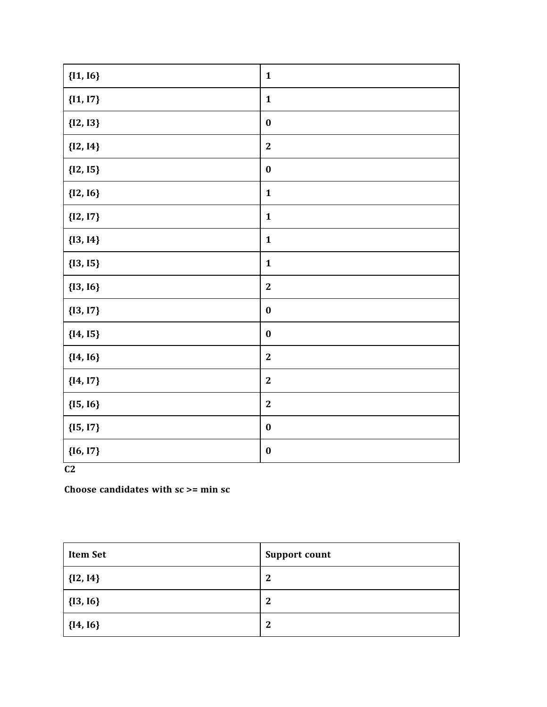| ${1, 16}$  | $\mathbf{1}$     |
|------------|------------------|
| ${I1, I7}$ | $\mathbf{1}$     |
| ${I2, I3}$ | $\boldsymbol{0}$ |
| ${I2, I4}$ | $\boldsymbol{2}$ |
| ${I2, I5}$ | $\boldsymbol{0}$ |
| ${12, 16}$ | $\mathbf{1}$     |
| ${I2, I7}$ | $\mathbf{1}$     |
| ${13, 14}$ | $\mathbf{1}$     |
| ${13, 15}$ | $\mathbf{1}$     |
| ${13, 16}$ | $\boldsymbol{2}$ |
| ${13, 17}$ | $\boldsymbol{0}$ |
| ${I4, I5}$ | $\boldsymbol{0}$ |
| ${I4, I6}$ | $\boldsymbol{2}$ |
| ${I4, I7}$ | $\boldsymbol{2}$ |
| ${I5, I6}$ | $\boldsymbol{2}$ |
| ${I5, I7}$ | $\boldsymbol{0}$ |
| ${I6, I7}$ | $\boldsymbol{0}$ |

**C2**

**Choose candidates with sc >= min sc**

| <b>Item Set</b> | <b>Support count</b> |
|-----------------|----------------------|
| $  \{12, 14\}$  | $\mathbf 2$          |
| ${13, 16}$      | $\mathbf 2$          |
| ${I4, I6}$      | $\mathbf 2$          |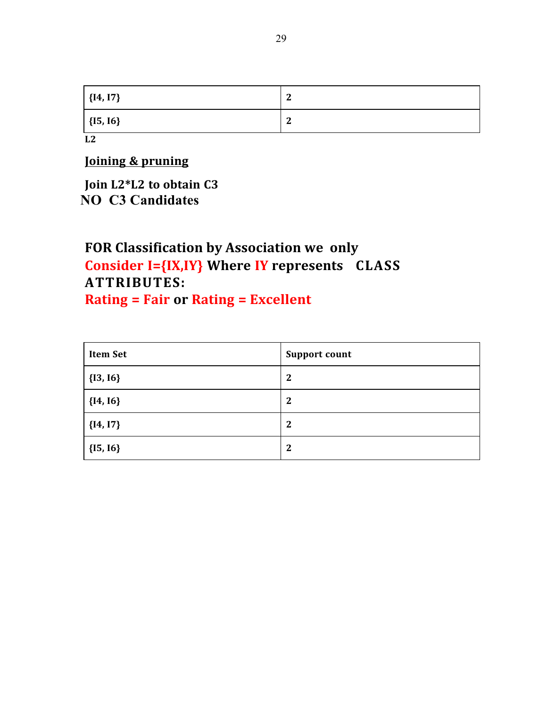| $  \{14, 17\}$ | $\sqrt{2}$<br>∼ |
|----------------|-----------------|
| $\{15, 16\}$   | n<br>∼          |
| L2             |                 |

**Joining & pruning**

**Join L2\*L2 to obtain C3 NO C3 Candidates**

# FOR Classification by Association we only **Consider I={IX,IY} Where IY represents CLASS ATTRIBUTES: Rating = Fair or Rating = Excellent**

| <b>Item Set</b> | <b>Support count</b> |
|-----------------|----------------------|
| ${I3, I6}$      | $\mathbf{2}$         |
| ${I4, I6}$      | $\boldsymbol{2}$     |
| ${I4, I7}$      | $\boldsymbol{2}$     |
| ${I5, I6}$      | $\mathbf{2}$         |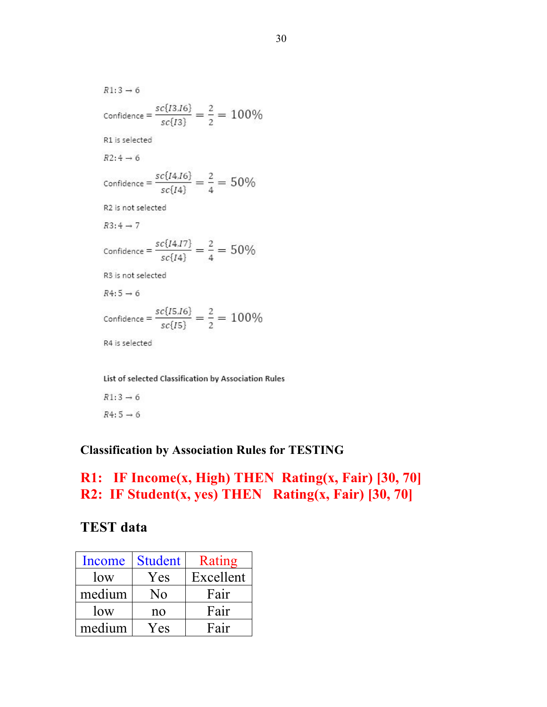$R1:3 \rightarrow 6$ Confidence =  $\frac{sc\{I3,I6\}}{sc\{I3\}} = \frac{2}{2} = 100\%$ R1 is selected  $R2:4 \rightarrow 6$ Confidence =  $\frac{sc\{I4,I6\}}{sc\{I4\}} = \frac{2}{4} = 50\%$ R2 is not selected  $R3:4 \rightarrow 7$ Confidence =  $\frac{sc\{I4,I7\}}{sc\{I4\}} = \frac{2}{4} = 50\%$ R3 is not selected  $R4:5 \rightarrow 6$ Confidence =  $\frac{sc\{I5,I6\}}{sc\{I5\}} = \frac{2}{2} = 100\%$ R4 is selected

List of selected Classification by Association Rules

 $R1:3 \rightarrow 6$  $R4:5 \to 6$ 

#### **Classification by Association Rules for TESTING**

### **R1: IF Income(x, High) THEN Rating(x, Fair) [30, 70] R2: IF Student(x, yes) THEN Rating(x, Fair) [30, 70]**

### **TEST data**

| Income | <b>Student</b> | Rating    |
|--------|----------------|-----------|
| low    | Yes            | Excellent |
| medium | No             | Fair      |
| low    | no             | Fair      |
| medium | Yes            | Fair      |